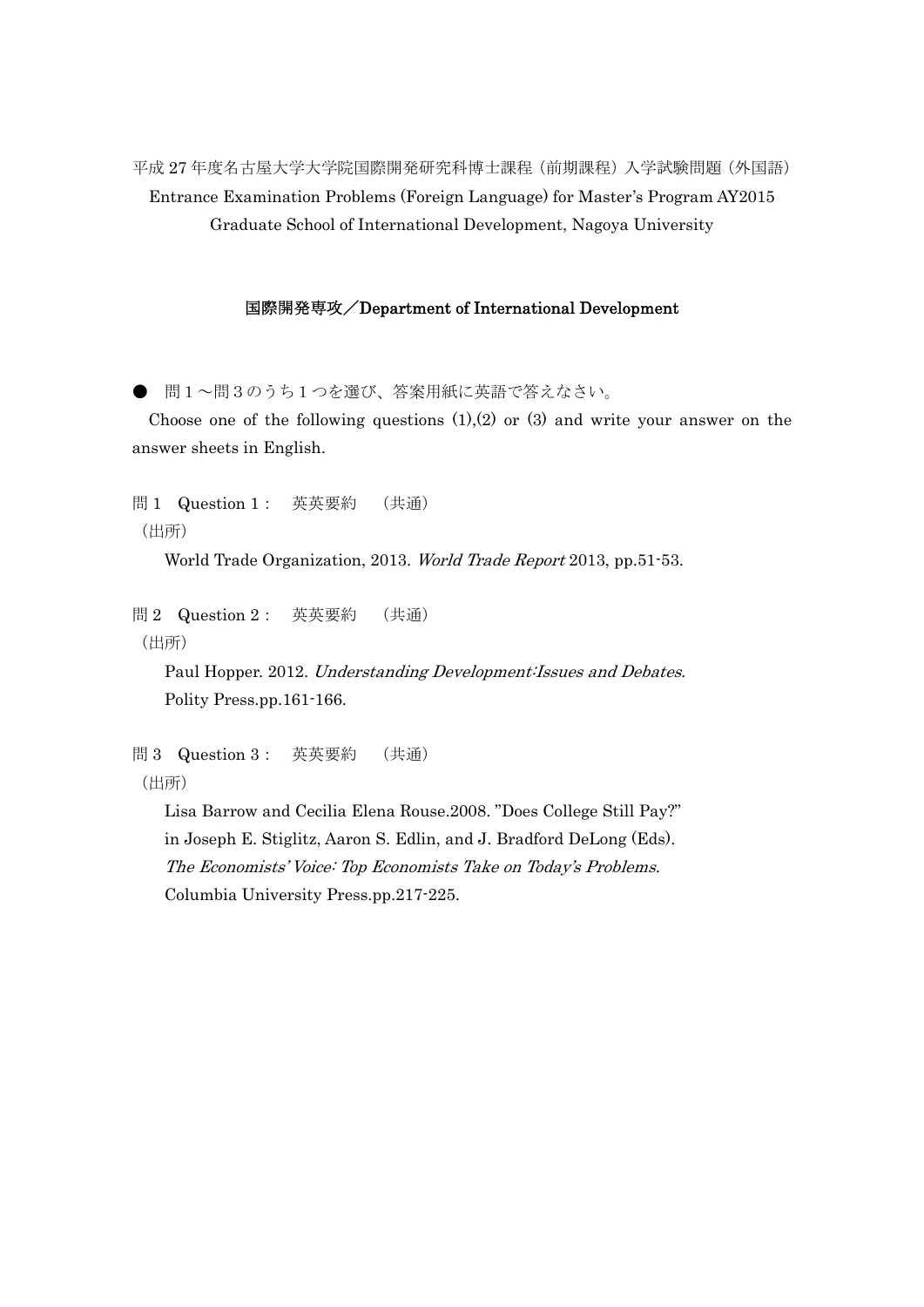平成 27 年度名古屋大学大学院国際開発研究科博士課程(前期課程)入学試験問題(外国語) Entrance Examination Problems (Foreign Language) for Master's Program AY2015 Graduate School of International Development, Nagoya University

## 国際開発専攻/Department of International Development

● 問1~問3のうち1つを選び、答案用紙に英語で答えなさい。

Choose one of the following questions  $(1)(2)$  or  $(3)$  and write your answer on the answer sheets in English.

問 1 Question 1: 英英要約 (共通) (出所)

World Trade Organization, 2013. World Trade Report 2013, pp.51-53.

問 2 Question 2: 英英要約 (共通) (出所)

> Paul Hopper. 2012. Understanding Development:Issues and Debates. Polity Press.pp.161-166.

問 3 Question 3: 英英要約 (共通) (出所)

> Lisa Barrow and Cecilia Elena Rouse.2008. "Does College Still Pay?" in Joseph E. Stiglitz, Aaron S. Edlin, and J. Bradford DeLong (Eds). The Economists' Voice: Top Economists Take on Today's Problems. Columbia University Press.pp.217-225.